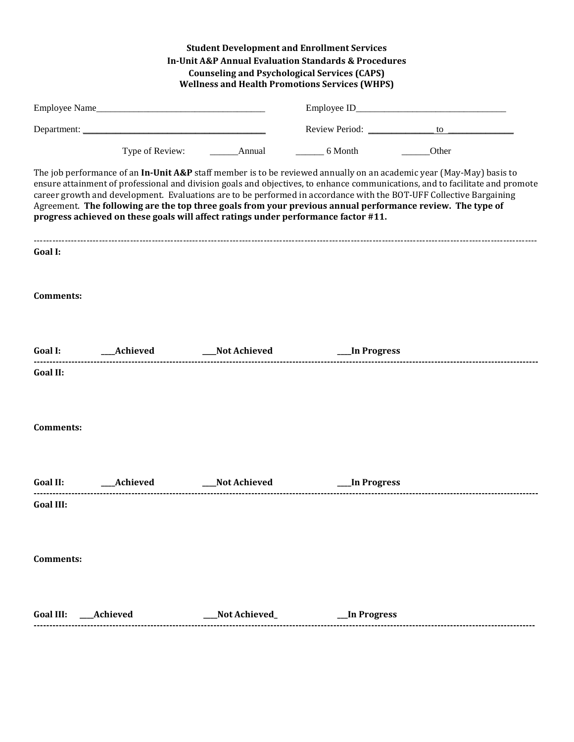|                 |            | <b>Student Development and Enrollment Services</b><br><b>In-Unit A&amp;P Annual Evaluation Standards &amp; Procedures</b><br><b>Counseling and Psychological Services (CAPS)</b><br><b>Wellness and Health Promotions Services (WHPS)</b> |                              |                                                                                                                                                                                                                                                                                                                                                                                                                                                                                            |  |  |
|-----------------|------------|-------------------------------------------------------------------------------------------------------------------------------------------------------------------------------------------------------------------------------------------|------------------------------|--------------------------------------------------------------------------------------------------------------------------------------------------------------------------------------------------------------------------------------------------------------------------------------------------------------------------------------------------------------------------------------------------------------------------------------------------------------------------------------------|--|--|
|                 |            |                                                                                                                                                                                                                                           |                              |                                                                                                                                                                                                                                                                                                                                                                                                                                                                                            |  |  |
|                 |            |                                                                                                                                                                                                                                           |                              | Review Period: <u>to to the series of the series of the series of the series of the series of the series of the series of the series of the series of the series of the series of the series of the series of the series of the </u>                                                                                                                                                                                                                                                       |  |  |
|                 |            |                                                                                                                                                                                                                                           |                              | Other                                                                                                                                                                                                                                                                                                                                                                                                                                                                                      |  |  |
|                 |            | progress achieved on these goals will affect ratings under performance factor #11.                                                                                                                                                        |                              | The job performance of an In-Unit A&P staff member is to be reviewed annually on an academic year (May-May) basis to<br>ensure attainment of professional and division goals and objectives, to enhance communications, and to facilitate and promote<br>career growth and development. Evaluations are to be performed in accordance with the BOT-UFF Collective Bargaining<br>Agreement. The following are the top three goals from your previous annual performance review. The type of |  |  |
| Goal I:         |            |                                                                                                                                                                                                                                           |                              |                                                                                                                                                                                                                                                                                                                                                                                                                                                                                            |  |  |
| Comments:       |            |                                                                                                                                                                                                                                           |                              |                                                                                                                                                                                                                                                                                                                                                                                                                                                                                            |  |  |
|                 |            |                                                                                                                                                                                                                                           |                              |                                                                                                                                                                                                                                                                                                                                                                                                                                                                                            |  |  |
| <b>Goal II:</b> |            |                                                                                                                                                                                                                                           |                              |                                                                                                                                                                                                                                                                                                                                                                                                                                                                                            |  |  |
| Comments:       |            |                                                                                                                                                                                                                                           |                              |                                                                                                                                                                                                                                                                                                                                                                                                                                                                                            |  |  |
| <b>Goal II:</b> | __Achieved | Not Achieved                                                                                                                                                                                                                              | In Progress                  |                                                                                                                                                                                                                                                                                                                                                                                                                                                                                            |  |  |
| Goal III:       |            |                                                                                                                                                                                                                                           |                              |                                                                                                                                                                                                                                                                                                                                                                                                                                                                                            |  |  |
| Comments:       |            |                                                                                                                                                                                                                                           |                              |                                                                                                                                                                                                                                                                                                                                                                                                                                                                                            |  |  |
|                 |            | __Not Achieved_                                                                                                                                                                                                                           | <b>Example 1 In Progress</b> |                                                                                                                                                                                                                                                                                                                                                                                                                                                                                            |  |  |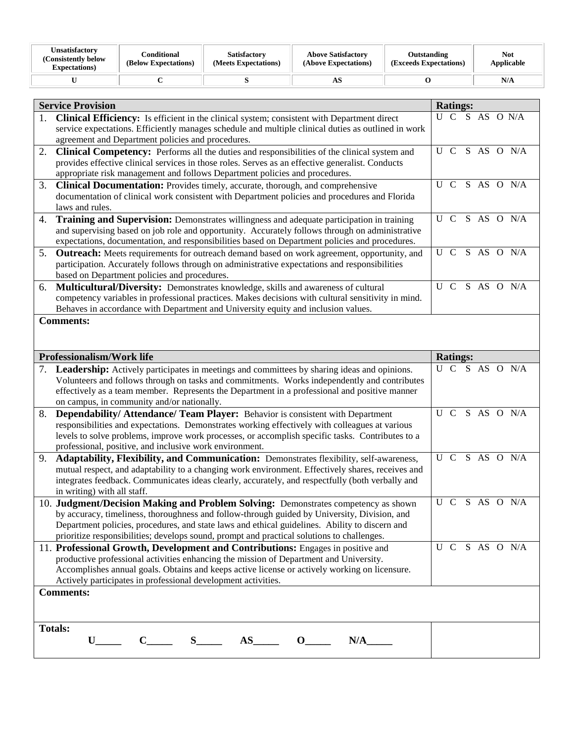| <b>Unsatisfactory</b><br>(Consistently below)<br><b>Expectations</b> ) | Conditional<br>(Below Expectations) | <b>Satisfactory</b><br>(Meets Expectations) | <b>Above Satisfactory</b><br>(Above Expectations) | Outstanding<br>(Exceeds Expectations) | <b>Not</b><br>Applicable |
|------------------------------------------------------------------------|-------------------------------------|---------------------------------------------|---------------------------------------------------|---------------------------------------|--------------------------|
|                                                                        |                                     |                                             | ΑO                                                |                                       | N/A                      |

|                  | <b>Service Provision</b>                                                                                                                                       | <b>Ratings:</b> |  |  |                |  |                                          |
|------------------|----------------------------------------------------------------------------------------------------------------------------------------------------------------|-----------------|--|--|----------------|--|------------------------------------------|
| 1.               | <b>Clinical Efficiency:</b> Is efficient in the clinical system; consistent with Department direct                                                             |                 |  |  | U C S AS O N/A |  |                                          |
|                  | service expectations. Efficiently manages schedule and multiple clinical duties as outlined in work<br>agreement and Department policies and procedures.       |                 |  |  |                |  |                                          |
| 2.               | <b>Clinical Competency:</b> Performs all the duties and responsibilities of the clinical system and                                                            |                 |  |  |                |  | $\overline{U C}$ $\overline{S}$ AS O N/A |
|                  | provides effective clinical services in those roles. Serves as an effective generalist. Conducts                                                               |                 |  |  |                |  |                                          |
|                  | appropriate risk management and follows Department policies and procedures.                                                                                    |                 |  |  |                |  |                                          |
| 3.               | <b>Clinical Documentation:</b> Provides timely, accurate, thorough, and comprehensive                                                                          |                 |  |  |                |  | U C S AS O N/A                           |
|                  | documentation of clinical work consistent with Department policies and procedures and Florida<br>laws and rules.                                               |                 |  |  |                |  |                                          |
| 4.               | Training and Supervision: Demonstrates willingness and adequate participation in training                                                                      | U C             |  |  |                |  | S AS O N/A                               |
|                  | and supervising based on job role and opportunity. Accurately follows through on administrative                                                                |                 |  |  |                |  |                                          |
|                  | expectations, documentation, and responsibilities based on Department policies and procedures.                                                                 |                 |  |  |                |  |                                          |
| 5.               | <b>Outreach:</b> Meets requirements for outreach demand based on work agreement, opportunity, and                                                              |                 |  |  |                |  | U C S AS O N/A                           |
|                  | participation. Accurately follows through on administrative expectations and responsibilities                                                                  |                 |  |  |                |  |                                          |
|                  | based on Department policies and procedures.                                                                                                                   |                 |  |  |                |  |                                          |
|                  | 6. Multicultural/Diversity: Demonstrates knowledge, skills and awareness of cultural                                                                           |                 |  |  |                |  | U C S AS O N/A                           |
|                  | competency variables in professional practices. Makes decisions with cultural sensitivity in mind.                                                             |                 |  |  |                |  |                                          |
|                  | Behaves in accordance with Department and University equity and inclusion values.<br><b>Comments:</b>                                                          |                 |  |  |                |  |                                          |
|                  |                                                                                                                                                                |                 |  |  |                |  |                                          |
|                  |                                                                                                                                                                |                 |  |  |                |  |                                          |
|                  | Professionalism/Work life                                                                                                                                      | <b>Ratings:</b> |  |  |                |  |                                          |
| 7.               | <b>Leadership:</b> Actively participates in meetings and committees by sharing ideas and opinions.                                                             |                 |  |  |                |  | U C S AS O N/A                           |
|                  | Volunteers and follows through on tasks and commitments. Works independently and contributes                                                                   |                 |  |  |                |  |                                          |
|                  | effectively as a team member. Represents the Department in a professional and positive manner                                                                  |                 |  |  |                |  |                                          |
|                  | on campus, in community and/or nationally.                                                                                                                     |                 |  |  |                |  |                                          |
| 8.               | Dependability/ Attendance/ Team Player: Behavior is consistent with Department                                                                                 |                 |  |  |                |  | U C S AS O N/A                           |
|                  | responsibilities and expectations. Demonstrates working effectively with colleagues at various                                                                 |                 |  |  |                |  |                                          |
|                  | levels to solve problems, improve work processes, or accomplish specific tasks. Contributes to a<br>professional, positive, and inclusive work environment.    |                 |  |  |                |  |                                          |
| 9.               | Adaptability, Flexibility, and Communication: Demonstrates flexibility, self-awareness,                                                                        |                 |  |  |                |  | U C S AS O N/A                           |
|                  | mutual respect, and adaptability to a changing work environment. Effectively shares, receives and                                                              |                 |  |  |                |  |                                          |
|                  | integrates feedback. Communicates ideas clearly, accurately, and respectfully (both verbally and                                                               |                 |  |  |                |  |                                          |
|                  | in writing) with all staff.                                                                                                                                    |                 |  |  |                |  |                                          |
|                  | 10. Judgment/Decision Making and Problem Solving: Demonstrates competency as shown                                                                             | U C             |  |  |                |  | S AS O N/A                               |
|                  | by accuracy, timeliness, thoroughness and follow-through guided by University, Division, and                                                                   |                 |  |  |                |  |                                          |
|                  | Department policies, procedures, and state laws and ethical guidelines. Ability to discern and                                                                 |                 |  |  |                |  |                                          |
|                  | prioritize responsibilities; develops sound, prompt and practical solutions to challenges.                                                                     |                 |  |  |                |  |                                          |
|                  | 11. Professional Growth, Development and Contributions: Engages in positive and                                                                                |                 |  |  |                |  | U C S AS O N/A                           |
|                  | productive professional activities enhancing the mission of Department and University.                                                                         |                 |  |  |                |  |                                          |
|                  | Accomplishes annual goals. Obtains and keeps active license or actively working on licensure.<br>Actively participates in professional development activities. |                 |  |  |                |  |                                          |
| <b>Comments:</b> |                                                                                                                                                                |                 |  |  |                |  |                                          |
|                  |                                                                                                                                                                |                 |  |  |                |  |                                          |
|                  |                                                                                                                                                                |                 |  |  |                |  |                                          |
|                  | <b>Totals:</b>                                                                                                                                                 |                 |  |  |                |  |                                          |
|                  | $S$ <sub>____</sub><br>$C_{\underline{\hspace{1cm}}\phantom{1}}$<br>$\mathbf{O}_{\underline{\qquad}}$<br>N/A                                                   |                 |  |  |                |  |                                          |
|                  |                                                                                                                                                                |                 |  |  |                |  |                                          |